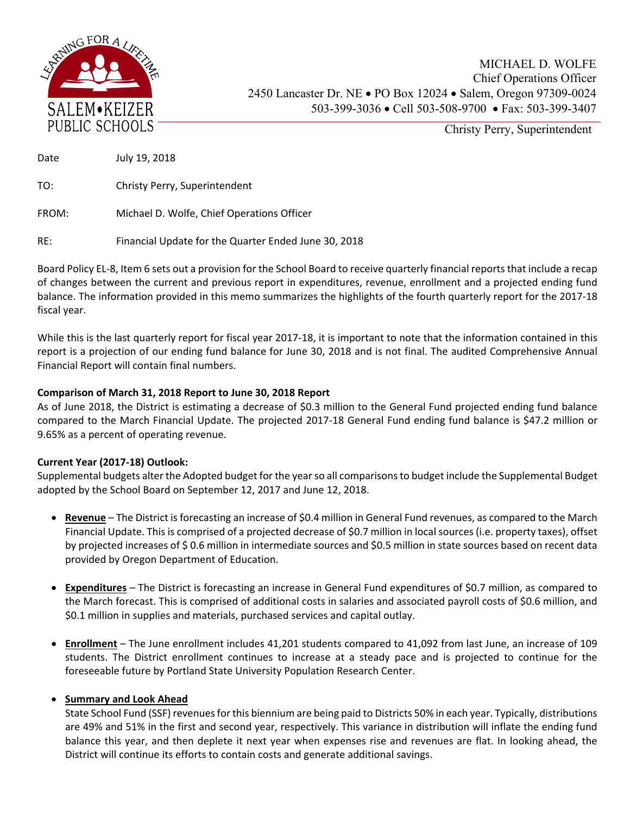

Christy Perry, Superintendent

Date July 19, 2018

TO: Christy Perry, Superintendent

FROM: Michael D. Wolfe, Chief Operations Officer

RE: Financial Update for the Quarter Ended June 30, 2018

Board Policy EL‐8, Item 6 sets out a provision for the School Board to receive quarterly financial reports that include a recap of changes between the current and previous report in expenditures, revenue, enrollment and a projected ending fund balance. The information provided in this memo summarizes the highlights of the fourth quarterly report for the 2017‐18 fiscal year.

While this is the last quarterly report for fiscal year 2017-18, it is important to note that the information contained in this report is a projection of our ending fund balance for June 30, 2018 and is not final. The audited Comprehensive Annual Financial Report will contain final numbers.

## **Comparison of March 31, 2018 Report to June 30, 2018 Report**

As of June 2018, the District is estimating a decrease of \$0.3 million to the General Fund projected ending fund balance compared to the March Financial Update. The projected 2017‐18 General Fund ending fund balance is \$47.2 million or 9.65% as a percent of operating revenue.

## **Current Year (2017‐18) Outlook:**

Supplemental budgets alter the Adopted budget for the year so all comparisons to budget include the Supplemental Budget adopted by the School Board on September 12, 2017 and June 12, 2018.

- **Revenue**  The District is forecasting an increase of \$0.4 million in General Fund revenues, as compared to the March Financial Update. This is comprised of a projected decrease of \$0.7 million in local sources (i.e. property taxes), offset by projected increases of \$ 0.6 million in intermediate sources and \$0.5 million in state sources based on recent data provided by Oregon Department of Education.
- **Expenditures** The District is forecasting an increase in General Fund expenditures of \$0.7 million, as compared to the March forecast. This is comprised of additional costs in salaries and associated payroll costs of \$0.6 million, and \$0.1 million in supplies and materials, purchased services and capital outlay.
- **Enrollment**  The June enrollment includes 41,201 students compared to 41,092 from last June, an increase of 109 students. The District enrollment continues to increase at a steady pace and is projected to continue for the foreseeable future by Portland State University Population Research Center.

## **• Summary and Look Ahead**

State School Fund (SSF) revenues for this biennium are being paid to Districts 50% in each year. Typically, distributions are 49% and 51% in the first and second year, respectively. This variance in distribution will inflate the ending fund balance this year, and then deplete it next year when expenses rise and revenues are flat. In looking ahead, the District will continue its efforts to contain costs and generate additional savings.